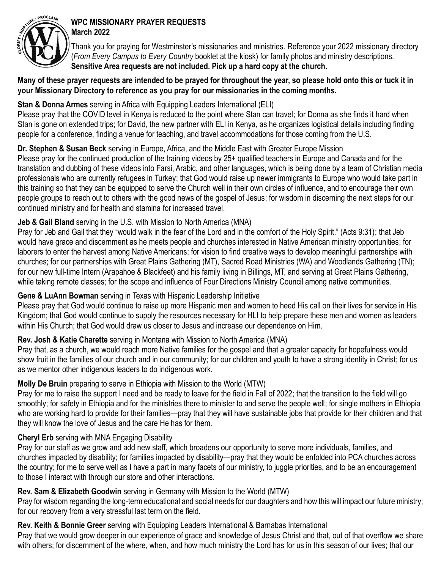

#### **WPC MISSIONARY PRAYER REQUESTS March 2022**

Thank you for praying for Westminster's missionaries and ministries. Reference your 2022 missionary directory (*From Every Campus to Every Country* booklet at the kiosk) for family photos and ministry descriptions*.* **Sensitive Area requests are not included. Pick up a hard copy at the church.**

#### **Many of these prayer requests are intended to be prayed for throughout the year, so please hold onto this or tuck it in your Missionary Directory to reference as you pray for our missionaries in the coming months.**

#### **Stan & Donna Armes** serving in Africa with Equipping Leaders International (ELI)

Please pray that the COVID level in Kenya is reduced to the point where Stan can travel; for Donna as she finds it hard when Stan is gone on extended trips; for David, the new partner with ELI in Kenya, as he organizes logistical details including finding people for a conference, finding a venue for teaching, and travel accommodations for those coming from the U.S.

### **Dr. Stephen & Susan Beck** serving in Europe, Africa, and the Middle East with Greater Europe Mission

Please pray for the continued production of the training videos by 25+ qualified teachers in Europe and Canada and for the translation and dubbing of these videos into Farsi, Arabic, and other languages, which is being done by a team of Christian media professionals who are currently refugees in Turkey; that God would raise up newer immigrants to Europe who would take part in this training so that they can be equipped to serve the Church well in their own circles of influence, and to encourage their own people groups to reach out to others with the good news of the gospel of Jesus; for wisdom in discerning the next steps for our continued ministry and for health and stamina for increased travel.

### **Jeb & Gail Bland** serving in the U.S. with Mission to North America (MNA)

Pray for Jeb and Gail that they "would walk in the fear of the Lord and in the comfort of the Holy Spirit." (Acts 9:31); that Jeb would have grace and discernment as he meets people and churches interested in Native American ministry opportunities; for laborers to enter the harvest among Native Americans; for vision to find creative ways to develop meaningful partnerships with churches; for our partnerships with Great Plains Gathering (MT), Sacred Road Ministries (WA) and Woodlands Gathering (TN); for our new full-time Intern (Arapahoe & Blackfeet) and his family living in Billings, MT, and serving at Great Plains Gathering, while taking remote classes; for the scope and influence of Four Directions Ministry Council among native communities.

### **Gene & LuAnn Bowman** serving in Texas with Hispanic Leadership Initiative

Please pray that God would continue to raise up more Hispanic men and women to heed His call on their lives for service in His Kingdom; that God would continue to supply the resources necessary for HLI to help prepare these men and women as leaders within His Church; that God would draw us closer to Jesus and increase our dependence on Him.

#### **Rev. Josh & Katie Charette** serving in Montana with Mission to North America (MNA)

Pray that, as a church, we would reach more Native families for the gospel and that a greater capacity for hopefulness would show fruit in the families of our church and in our community; for our children and youth to have a strong identity in Christ; for us as we mentor other indigenous leaders to do indigenous work.

### **Molly De Bruin** preparing to serve in Ethiopia with Mission to the World (MTW)

Pray for me to raise the support I need and be ready to leave for the field in Fall of 2022; that the transition to the field will go smoothly; for safety in Ethiopia and for the ministries there to minister to and serve the people well; for single mothers in Ethiopia who are working hard to provide for their families—pray that they will have sustainable jobs that provide for their children and that they will know the love of Jesus and the care He has for them.

#### **Cheryl Erb** serving with MNA Engaging Disability

Pray for our staff as we grow and add new staff, which broadens our opportunity to serve more individuals, families, and churches impacted by disability; for families impacted by disability—pray that they would be enfolded into PCA churches across the country; for me to serve well as I have a part in many facets of our ministry, to juggle priorities, and to be an encouragement to those I interact with through our store and other interactions.

### **Rev. Sam & Elizabeth Goodwin** serving in Germany with Mission to the World (MTW)

Pray for wisdom regarding the long-term educational and social needs for our daughters and how this will impact our future ministry; for our recovery from a very stressful last term on the field.

### **Rev. Keith & Bonnie Greer** serving with Equipping Leaders International & Barnabas International

Pray that we would grow deeper in our experience of grace and knowledge of Jesus Christ and that, out of that overflow we share with others; for discernment of the where, when, and how much ministry the Lord has for us in this season of our lives; that our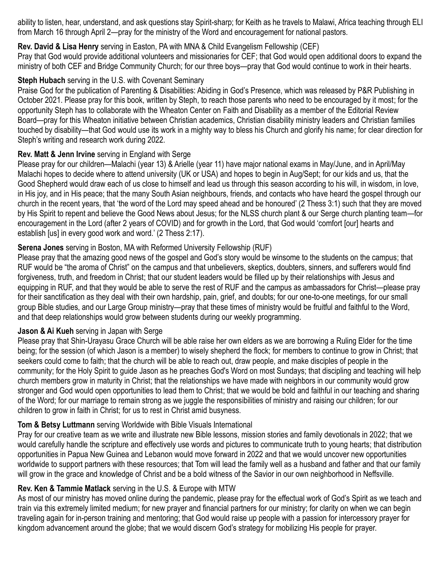ability to listen, hear, understand, and ask questions stay Spirit-sharp; for Keith as he travels to Malawi, Africa teaching through ELI from March 16 through April 2—pray for the ministry of the Word and encouragement for national pastors.

#### **Rev. David & Lisa Henry** serving in Easton, PA with MNA & Child Evangelism Fellowship (CEF)

Pray that God would provide additional volunteers and missionaries for CEF; that God would open additional doors to expand the ministry of both CEF and Bridge Community Church; for our three boys—pray that God would continue to work in their hearts.

#### **Steph Hubach** serving in the U.S. with Covenant Seminary

Praise God for the publication of Parenting & Disabilities: Abiding in God's Presence, which was released by P&R Publishing in October 2021. Please pray for this book, written by Steph, to reach those parents who need to be encouraged by it most; for the opportunity Steph has to collaborate with the Wheaton Center on Faith and Disability as a member of the Editorial Review Board—pray for this Wheaton initiative between Christian academics, Christian disability ministry leaders and Christian families touched by disability—that God would use its work in a mighty way to bless his Church and glorify his name; for clear direction for Steph's writing and research work during 2022.

### **Rev. Matt & Jenn Irvine** serving in England with Serge

Please pray for our children—Malachi (year 13) & Arielle (year 11) have major national exams in May/June, and in April/May Malachi hopes to decide where to attend university (UK or USA) and hopes to begin in Aug/Sept; for our kids and us, that the Good Shepherd would draw each of us close to himself and lead us through this season according to his will, in wisdom, in love, in His joy, and in His peace; that the many South Asian neighbours, friends, and contacts who have heard the gospel through our church in the recent years, that 'the word of the Lord may speed ahead and be honoured' (2 Thess 3:1) such that they are moved by His Spirit to repent and believe the Good News about Jesus; for the NLSS church plant & our Serge church planting team—for encouragement in the Lord (after 2 years of COVID) and for growth in the Lord, that God would 'comfort [our] hearts and establish [us] in every good work and word.' (2 Thess 2:17).

### **Serena Jones** serving in Boston, MA with Reformed University Fellowship (RUF)

Please pray that the amazing good news of the gospel and God's story would be winsome to the students on the campus; that RUF would be "the aroma of Christ" on the campus and that unbelievers, skeptics, doubters, sinners, and sufferers would find forgiveness, truth, and freedom in Christ; that our student leaders would be filled up by their relationships with Jesus and equipping in RUF, and that they would be able to serve the rest of RUF and the campus as ambassadors for Christ—please pray for their sanctification as they deal with their own hardship, pain, grief, and doubts; for our one-to-one meetings, for our small group Bible studies, and our Large Group ministry—pray that these times of ministry would be fruitful and faithful to the Word, and that deep relationships would grow between students during our weekly programming.

### **Jason & Ai Kueh** serving in Japan with Serge

Please pray that Shin-Urayasu Grace Church will be able raise her own elders as we are borrowing a Ruling Elder for the time being; for the session (of which Jason is a member) to wisely shepherd the flock; for members to continue to grow in Christ; that seekers could come to faith; that the church will be able to reach out, draw people, and make disciples of people in the community; for the Holy Spirit to guide Jason as he preaches God's Word on most Sundays; that discipling and teaching will help church members grow in maturity in Christ; that the relationships we have made with neighbors in our community would grow stronger and God would open opportunities to lead them to Christ; that we would be bold and faithful in our teaching and sharing of the Word; for our marriage to remain strong as we juggle the responsibilities of ministry and raising our children; for our children to grow in faith in Christ; for us to rest in Christ amid busyness.

### **Tom & Betsy Luttmann** serving Worldwide with Bible Visuals International

Pray for our creative team as we write and illustrate new Bible lessons, mission stories and family devotionals in 2022; that we would carefully handle the scripture and effectively use words and pictures to communicate truth to young hearts; that distribution opportunities in Papua New Guinea and Lebanon would move forward in 2022 and that we would uncover new opportunities worldwide to support partners with these resources; that Tom will lead the family well as a husband and father and that our family will grow in the grace and knowledge of Christ and be a bold witness of the Savior in our own neighborhood in Neffsville.

### **Rev. Ken & Tammie Matlack** serving in the U.S. & Europe with MTW

As most of our ministry has moved online during the pandemic, please pray for the effectual work of God's Spirit as we teach and train via this extremely limited medium; for new prayer and financial partners for our ministry; for clarity on when we can begin traveling again for in-person training and mentoring; that God would raise up people with a passion for intercessory prayer for kingdom advancement around the globe; that we would discern God's strategy for mobilizing His people for prayer.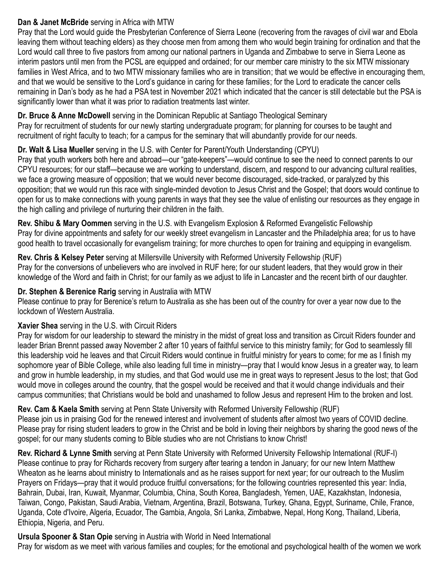### **Dan & Janet McBride** serving in Africa with MTW

Pray that the Lord would guide the Presbyterian Conference of Sierra Leone (recovering from the ravages of civil war and Ebola leaving them without teaching elders) as they choose men from among them who would begin training for ordination and that the Lord would call three to five pastors from among our national partners in Uganda and Zimbabwe to serve in Sierra Leone as interim pastors until men from the PCSL are equipped and ordained; for our member care ministry to the six MTW missionary families in West Africa, and to two MTW missionary families who are in transition; that we would be effective in encouraging them, and that we would be sensitive to the Lord's guidance in caring for these families; for the Lord to eradicate the cancer cells remaining in Dan's body as he had a PSA test in November 2021 which indicated that the cancer is still detectable but the PSA is significantly lower than what it was prior to radiation treatments last winter.

**Dr. Bruce & Anne McDowell** serving in the Dominican Republic at Santiago Theological Seminary Pray for recruitment of students for our newly starting undergraduate program; for planning for courses to be taught and recruitment of right faculty to teach; for a campus for the seminary that will abundantly provide for our needs.

## **Dr. Walt & Lisa Mueller** serving in the U.S. with Center for Parent/Youth Understanding (CPYU)

Pray that youth workers both here and abroad—our "gate-keepers"—would continue to see the need to connect parents to our CPYU resources; for our staff—because we are working to understand, discern, and respond to our advancing cultural realities, we face a growing measure of opposition; that we would never become discouraged, side-tracked, or paralyzed by this opposition; that we would run this race with single-minded devotion to Jesus Christ and the Gospel; that doors would continue to open for us to make connections with young parents in ways that they see the value of enlisting our resources as they engage in the high calling and privilege of nurturing their children in the faith.

**Rev. Shibu & Mary Oommen** serving in the U.S. with Evangelism Explosion & Reformed Evangelistic Fellowship Pray for divine appointments and safety for our weekly street evangelism in Lancaster and the Philadelphia area; for us to have good health to travel occasionally for evangelism training; for more churches to open for training and equipping in evangelism.

**Rev. Chris & Kelsey Peter** serving at Millersville University with Reformed University Fellowship (RUF) Pray for the conversions of unbelievers who are involved in RUF here; for our student leaders, that they would grow in their knowledge of the Word and faith in Christ; for our family as we adjust to life in Lancaster and the recent birth of our daughter.

## **Dr. Stephen & Berenice Rarig** serving in Australia with MTW

Please continue to pray for Berenice's return to Australia as she has been out of the country for over a year now due to the lockdown of Western Australia.

## **Xavier Shea** serving in the U.S. with Circuit Riders

Pray for wisdom for our leadership to steward the ministry in the midst of great loss and transition as Circuit Riders founder and leader Brian Brennt passed away November 2 after 10 years of faithful service to this ministry family; for God to seamlessly fill this leadership void he leaves and that Circuit Riders would continue in fruitful ministry for years to come; for me as I finish my sophomore year of Bible College, while also leading full time in ministry—pray that I would know Jesus in a greater way, to learn and grow in humble leadership, in my studies, and that God would use me in great ways to represent Jesus to the lost; that God would move in colleges around the country, that the gospel would be received and that it would change individuals and their campus communities; that Christians would be bold and unashamed to follow Jesus and represent Him to the broken and lost.

## **Rev. Cam & Kaela Smith** serving at Penn State University with Reformed University Fellowship (RUF)

Please join us in praising God for the renewed interest and involvement of students after almost two years of COVID decline. Please pray for rising student leaders to grow in the Christ and be bold in loving their neighbors by sharing the good news of the gospel; for our many students coming to Bible studies who are not Christians to know Christ!

**Rev. Richard & Lynne Smith** serving at Penn State University with Reformed University Fellowship International (RUF-I) Please continue to pray for Richards recovery from surgery after tearing a tendon in January; for our new Intern Matthew Wheaton as he learns about ministry to Internationals and as he raises support for next year; for our outreach to the Muslim Prayers on Fridays—pray that it would produce fruitful conversations; for the following countries represented this year: India, Bahrain, Dubai, Iran, Kuwait, Myanmar, Columbia, China, South Korea, Bangladesh, Yemen, UAE, Kazakhstan, Indonesia, Taiwan, Congo, Pakistan, Saudi Arabia, Vietnam, Argentina, Brazil, Botswana, Turkey, Ghana, Egypt, Suriname, Chile, France, Uganda, Cote d'Ivoire, Algeria, Ecuador, The Gambia, Angola, Sri Lanka, Zimbabwe, Nepal, Hong Kong, Thailand, Liberia, Ethiopia, Nigeria, and Peru.

## **Ursula Spooner & Stan Opie** serving in Austria with World in Need International

Pray for wisdom as we meet with various families and couples; for the emotional and psychological health of the women we work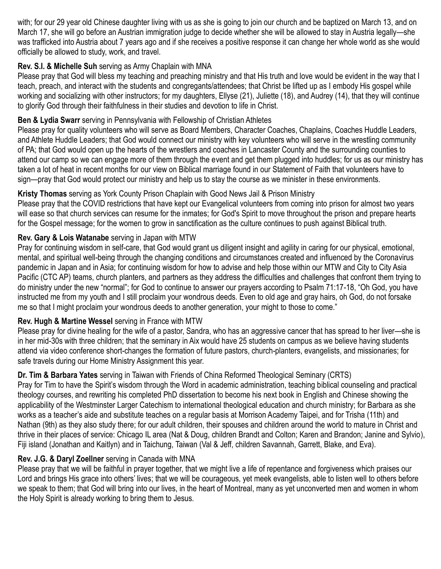with; for our 29 year old Chinese daughter living with us as she is going to join our church and be baptized on March 13, and on March 17, she will go before an Austrian immigration judge to decide whether she will be allowed to stay in Austria legally—she was trafficked into Austria about 7 years ago and if she receives a positive response it can change her whole world as she would officially be allowed to study, work, and travel.

### **Rev. S.I. & Michelle Suh** serving as Army Chaplain with MNA

Please pray that God will bless my teaching and preaching ministry and that His truth and love would be evident in the way that I teach, preach, and interact with the students and congregants/attendees; that Christ be lifted up as I embody His gospel while working and socializing with other instructors; for my daughters, Ellyse (21), Juliette (18), and Audrey (14), that they will continue to glorify God through their faithfulness in their studies and devotion to life in Christ.

# **Ben & Lydia Swarr** serving in Pennsylvania with Fellowship of Christian Athletes

Please pray for quality volunteers who will serve as Board Members, Character Coaches, Chaplains, Coaches Huddle Leaders, and Athlete Huddle Leaders; that God would connect our ministry with key volunteers who will serve in the wrestling community of PA; that God would open up the hearts of the wrestlers and coaches in Lancaster County and the surrounding counties to attend our camp so we can engage more of them through the event and get them plugged into huddles; for us as our ministry has taken a lot of heat in recent months for our view on Biblical marriage found in our Statement of Faith that volunteers have to sign—pray that God would protect our ministry and help us to stay the course as we minister in these environments.

## **Kristy Thomas** serving as York County Prison Chaplain with Good News Jail & Prison Ministry

Please pray that the COVID restrictions that have kept our Evangelical volunteers from coming into prison for almost two years will ease so that church services can resume for the inmates; for God's Spirit to move throughout the prison and prepare hearts for the Gospel message; for the women to grow in sanctification as the culture continues to push against Biblical truth.

## **Rev. Gary & Lois Watanabe** serving in Japan with MTW

Pray for continuing wisdom in self-care, that God would grant us diligent insight and agility in caring for our physical, emotional, mental, and spiritual well-being through the changing conditions and circumstances created and influenced by the Coronavirus pandemic in Japan and in Asia; for continuing wisdom for how to advise and help those within our MTW and City to City Asia Pacific (CTC AP) teams, church planters, and partners as they address the difficulties and challenges that confront them trying to do ministry under the new "normal"; for God to continue to answer our prayers according to Psalm 71:17-18, "Oh God, you have instructed me from my youth and I still proclaim your wondrous deeds. Even to old age and gray hairs, oh God, do not forsake me so that I might proclaim your wondrous deeds to another generation, your might to those to come."

## **Rev. Hugh & Martine Wessel** serving in France with MTW

Please pray for divine healing for the wife of a pastor, Sandra, who has an aggressive cancer that has spread to her liver—she is in her mid-30s with three children; that the seminary in Aix would have 25 students on campus as we believe having students attend via video conference short-changes the formation of future pastors, church-planters, evangelists, and missionaries; for safe travels during our Home Ministry Assignment this year.

## **Dr. Tim & Barbara Yates** serving in Taiwan with Friends of China Reformed Theological Seminary (CRTS)

Pray for Tim to have the Spirit's wisdom through the Word in academic administration, teaching biblical counseling and practical theology courses, and rewriting his completed PhD dissertation to become his next book in English and Chinese showing the applicability of the Westminster Larger Catechism to international theological education and church ministry; for Barbara as she works as a teacher's aide and substitute teaches on a regular basis at Morrison Academy Taipei, and for Trisha (11th) and Nathan (9th) as they also study there; for our adult children, their spouses and children around the world to mature in Christ and thrive in their places of service: Chicago IL area (Nat & Doug, children Brandt and Colton; Karen and Brandon; Janine and Sylvio), Fiji island (Jonathan and Kaitlyn) and in Taichung, Taiwan (Val & Jeff, children Savannah, Garrett, Blake, and Eva).

## **Rev. J.G. & Daryl Zoellner** serving in Canada with MNA

Please pray that we will be faithful in prayer together, that we might live a life of repentance and forgiveness which praises our Lord and brings His grace into others' lives; that we will be courageous, yet meek evangelists, able to listen well to others before we speak to them; that God will bring into our lives, in the heart of Montreal, many as yet unconverted men and women in whom the Holy Spirit is already working to bring them to Jesus.